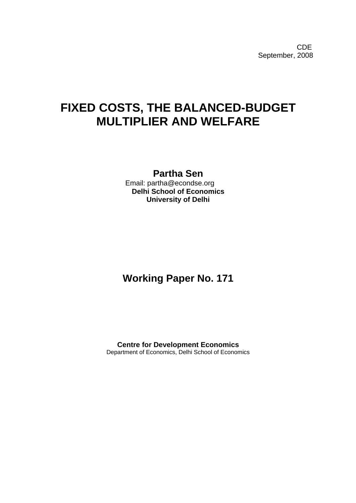**CDE COLLECTION** September, 2008

# **FIXED COSTS, THE BALANCED-BUDGET MULTIPLIER AND WELFARE**

## **Partha Sen**

 Email: partha@econdse.org **Delhi School of Economics University of Delhi** 

# **Working Paper No. 171**

**Centre for Development Economics**  Department of Economics, Delhi School of Economics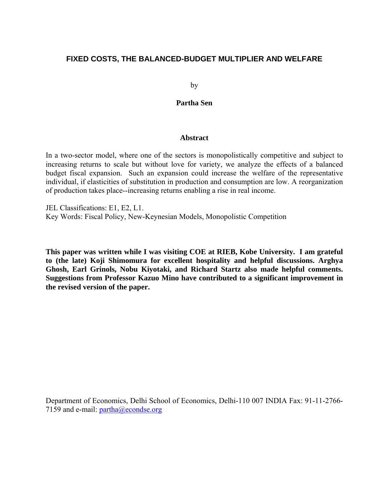### **FIXED COSTS, THE BALANCED-BUDGET MULTIPLIER AND WELFARE**

by

### **Partha Sen**

#### **Abstract**

In a two-sector model, where one of the sectors is monopolistically competitive and subject to increasing returns to scale but without love for variety, we analyze the effects of a balanced budget fiscal expansion. Such an expansion could increase the welfare of the representative individual, if elasticities of substitution in production and consumption are low. A reorganization of production takes place--increasing returns enabling a rise in real income.

JEL Classifications: E1, E2, L1. Key Words: Fiscal Policy, New-Keynesian Models, Monopolistic Competition

**This paper was written while I was visiting COE at RIEB, Kobe University. I am grateful to (the late) Koji Shimomura for excellent hospitality and helpful discussions. Arghya Ghosh, Earl Grinols, Nobu Kiyotaki, and Richard Startz also made helpful comments. Suggestions from Professor Kazuo Mino have contributed to a significant improvement in the revised version of the paper.** 

Department of Economics, Delhi School of Economics, Delhi-110 007 INDIA Fax: 91-11-2766 7159 and e-mail: [partha@econdse.org](mailto:partha@econdse.org)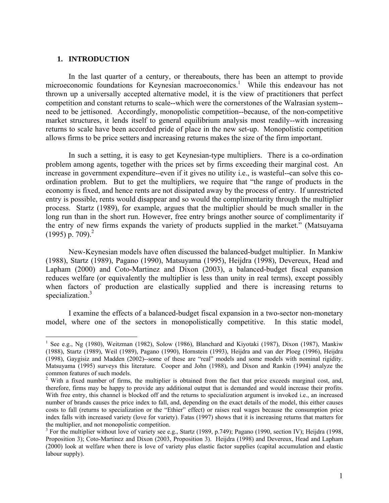#### **1. INTRODUCTION**

 $\overline{a}$ 

In the last quarter of a century, or thereabouts, there has been an attempt to provide microeconomic foundations for Keynesian macroeconomics.<sup>[1](#page-2-0)</sup> While this endeavour has not thrown up a universally accepted alternative model, it is the view of practitioners that perfect competition and constant returns to scale--which were the cornerstones of the Walrasian system- need to be jettisoned. Accordingly, monopolistic competition--because, of the non-competitive market structures, it lends itself to general equilibrium analysis most readily--with increasing returns to scale have been accorded pride of place in the new set-up. Monopolistic competition allows firms to be price setters and increasing returns makes the size of the firm important.

In such a setting, it is easy to get Keynesian-type multipliers. There is a co-ordination problem among agents, together with the prices set by firms exceeding their marginal cost. An increase in government expenditure--even if it gives no utility i.e., is wasteful--can solve this coordination problem. But to get the multipliers, we require that "the range of products in the economy is fixed, and hence rents are not dissipated away by the process of entry. If unrestricted entry is possible, rents would disappear and so would the complimentarity through the multiplier process. Startz (1989), for example, argues that the multiplier should be much smaller in the long run than in the short run. However, free entry brings another source of complimentarity if the entry of new firms expands the variety of products supplied in the market." (Matsuyama  $(1995)$  p. 709).<sup>2</sup>

New-Keynesian models have often discussed the balanced-budget multiplier. In Mankiw (1988), Startz (1989), Pagano (1990), Matsuyama (1995), Heijdra (1998), Devereux, Head and Lapham (2000) and Coto-Martinez and Dixon (2003), a balanced-budget fiscal expansion reduces welfare (or equivalently the multiplier is less than unity in real terms), except possibly when factors of production are elastically supplied and there is increasing returns to specialization.<sup>[3](#page-2-2)</sup>

I examine the effects of a balanced-budget fiscal expansion in a two-sector non-monetary model, where one of the sectors in monopolistically competitive. In this static model,

<span id="page-2-0"></span><sup>&</sup>lt;sup>1</sup> See e.g., Ng (1980), Weitzman (1982), Solow (1986), Blanchard and Kiyotaki (1987), Dixon (1987), Mankiw (1988), Startz (1989), Weil (1989), Pagano (1990), Hornstein (1993), Heijdra and van der Ploeg (1996), Heijdra (1998), Gaygisiz and Madden (2002)--some of these are "real" models and some models with nominal rigidity. Matsuyama (1995) surveys this literature. Cooper and John (1988), and Dixon and Rankin (1994) analyze the common features of such models.

<span id="page-2-1"></span><sup>&</sup>lt;sup>2</sup> With a fixed number of firms, the multiplier is obtained from the fact that price exceeds marginal cost, and, therefore, firms may be happy to provide any additional output that is demanded and would increase their profits. With free entry, this channel is blocked off and the returns to specialization argument is invoked i.e., an increased number of brands causes the price index to fall, and, depending on the exact details of the model, this either causes costs to fall (returns to specialization or the "Ethier" effect) or raises real wages because the consumption price index falls with increased variety (love for variety). Fatas (1997) shows that it is increasing returns that matters for the multiplier, and not monopolistic competition.

<span id="page-2-2"></span><sup>&</sup>lt;sup>3</sup> For the multiplier without love of variety see e.g., Startz (1989, p.749); Pagano (1990, section IV); Heijdra (1998, Proposition 3); Coto-Martinez and Dixon (2003, Proposition 3). Heijdra (1998) and Devereux, Head and Lapham (2000) look at welfare when there is love of variety plus elastic factor supplies (capital accumulation and elastic labour supply).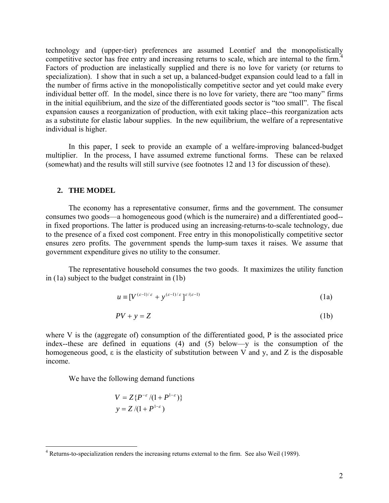technology and (upper-tier) preferences are assumed Leontief and the monopolistically competitive sector has free entry and increasing returns to scale, which are internal to the firm.<sup>[4](#page-3-0)</sup> Factors of production are inelastically supplied and there is no love for variety (or returns to specialization). I show that in such a set up, a balanced-budget expansion could lead to a fall in the number of firms active in the monopolistically competitive sector and yet could make every individual better off. In the model, since there is no love for variety, there are "too many" firms in the initial equilibrium, and the size of the differentiated goods sector is "too small". The fiscal expansion causes a reorganization of production, with exit taking place--this reorganization acts as a substitute for elastic labour supplies. In the new equilibrium, the welfare of a representative individual is higher.

In this paper, I seek to provide an example of a welfare-improving balanced-budget multiplier. In the process, I have assumed extreme functional forms. These can be relaxed (somewhat) and the results will still survive (see footnotes 12 and 13 for discussion of these).

#### **2. THE MODEL**

 $\overline{a}$ 

The economy has a representative consumer, firms and the government. The consumer consumes two goods—a homogeneous good (which is the numeraire) and a differentiated good- in fixed proportions. The latter is produced using an increasing-returns-to-scale technology, due to the presence of a fixed cost component. Free entry in this monopolistically competitive sector ensures zero profits. The government spends the lump-sum taxes it raises. We assume that government expenditure gives no utility to the consumer.

The representative household consumes the two goods. It maximizes the utility function in (1a) subject to the budget constraint in (1b)

$$
u \equiv [V^{(\varepsilon - 1)/\varepsilon} + y^{(\varepsilon - 1)/\varepsilon}]^{\varepsilon/(\varepsilon - 1)}
$$
(1a)

$$
PV + y = Z \tag{1b}
$$

where V is the (aggregate of) consumption of the differentiated good, P is the associated price index--these are defined in equations (4) and (5) below—y is the consumption of the homogeneous good, ε is the elasticity of substitution between V and y, and Z is the disposable income.

We have the following demand functions

$$
V = Z\{P^{-\varepsilon}/(1+P^{1-\varepsilon})\}
$$
  
 
$$
y = Z/(1+P^{1-\varepsilon})
$$

<span id="page-3-0"></span><sup>&</sup>lt;sup>4</sup> Returns-to-specialization renders the increasing returns external to the firm. See also Weil (1989).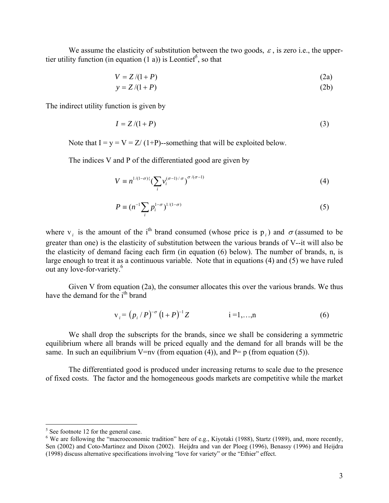We assume the elasticity of substitution between the two goods,  $\varepsilon$ , is zero i.e., the uppertier utility function (in equation (1 a)) is Leontief<sup>5</sup>, so that

$$
V = Z/(1+P) \tag{2a}
$$

$$
y = Z/(1+P) \tag{2b}
$$

The indirect utility function is given by

$$
I = Z/(1+P) \tag{3}
$$

Note that  $I = y = V = Z/(1+P)$ --something that will be exploited below.

The indices V and P of the differentiated good are given by

$$
V \equiv n^{1/(1-\sigma)\{\left(\sum_{i} \mathcal{V}_i^{(\sigma-1)/\sigma}\right)^{\sigma/(\sigma-1)}} \tag{4}
$$

$$
P \equiv (n^{-1} \sum_{i} p_i^{1-\sigma})^{1/(1-\sigma)}
$$
\n
$$
\tag{5}
$$

where v<sub>*i*</sub> is the amount of the i<sup>th</sup> brand consumed (whose price is p<sub>*i*</sub>) and  $\sigma$  (assumed to be greater than one) is the elasticity of substitution between the various brands of V--it will also be the elasticity of demand facing each firm (in equation (6) below). The number of brands, n, is large enough to treat it as a continuous variable. Note that in equations (4) and (5) we have ruled out any love-for-variety.<sup>[6](#page-4-1)</sup>

Given V from equation (2a), the consumer allocates this over the various brands. We thus have the demand for the i<sup>th</sup> brand

$$
v_i = (p_i / P)^{-\sigma} (1 + P)^{-1} Z \qquad i = 1,...,n \qquad (6)
$$

We shall drop the subscripts for the brands, since we shall be considering a symmetric equilibrium where all brands will be priced equally and the demand for all brands will be the same. In such an equilibrium V=nv (from equation (4)), and P= p (from equation (5)).

The differentiated good is produced under increasing returns to scale due to the presence of fixed costs. The factor and the homogeneous goods markets are competitive while the market

 $\frac{1}{5}$ 

<span id="page-4-1"></span><span id="page-4-0"></span><sup>&</sup>lt;sup>5</sup> See footnote 12 for the general case.<br><sup>6</sup> We are following the "macroeconomic tradition" here of e.g., Kiyotaki (1988), Startz (1989), and, more recently, Sen (2002) and Coto-Martinez and Dixon (2002). Heijdra and van der Ploeg (1996), Benassy (1996) and Heijdra (1998) discuss alternative specifications involving "love for variety" or the "Ethier" effect.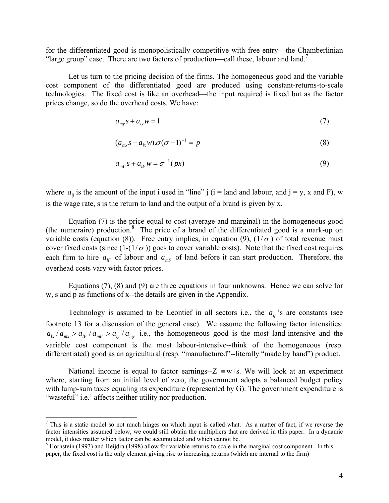for the differentiated good is monopolistically competitive with free entry—the Chamberlinian "large group" case. There are two factors of production—call these, labour and land.<sup>7</sup>

Let us turn to the pricing decision of the firms. The homogeneous good and the variable cost component of the differentiated good are produced using constant-returns-to-scale technologies. The fixed cost is like an overhead—the input required is fixed but as the factor prices change, so do the overhead costs. We have:

$$
a_{\scriptscriptstyle m} s + a_{\scriptscriptstyle l} w = 1 \tag{7}
$$

$$
(a_{mx}s + a_{lx}w) \cdot \sigma(\sigma - 1)^{-1} = p \tag{8}
$$

$$
a_{mF} s + a_{IF} w = \sigma^{-1}(px)
$$
\n(9)

where  $a_{ij}$  is the amount of the input i used in "line" j (i = land and labour, and j = y, x and F), w is the wage rate, s is the return to land and the output of a brand is given by x.

Equation (7) is the price equal to cost (average and marginal) in the homogeneous good (the numeraire) production.<sup>8</sup> The price of a brand of the differentiated good is a mark-up on variable costs (equation (8)). Free entry implies, in equation (9),  $(1/\sigma)$  of total revenue must cover fixed costs (since  $(1-(1/\sigma))$  goes to cover variable costs). Note that the fixed cost requires each firm to hire  $a_{IF}$  of labour and  $a_{MF}$  of land before it can start production. Therefore, the overhead costs vary with factor prices.

Equations (7), (8) and (9) are three equations in four unknowns. Hence we can solve for w, s and p as functions of x--the details are given in the Appendix.

Technology is assumed to be Leontief in all sectors i.e., the  $a_{ij}$ 's are constants (see footnote 13 for a discussion of the general case). We assume the following factor intensities:  $a_{lx}$  /  $a_{mx}$  >  $a_{lr}$  /  $a_{mr}$  >  $a_{ly}$  /  $a_{my}$  i.e., the homogeneous good is the most land-intensive and the variable cost component is the most labour-intensive--think of the homogeneous (resp. differentiated) good as an agricultural (resp. "manufactured"--literally "made by hand") product.

National income is equal to factor earnings-- $Z \equiv w+s$ . We will look at an experiment where, starting from an initial level of zero, the government adopts a balanced budget policy with lump-sum taxes equaling its expenditure (represented by G). The government expenditure is "wasteful" i.e.' affects neither utility nor production.

<span id="page-5-0"></span> $\frac{1}{7}$  $\frac{7}{1}$  This is a static model so not much hinges on which input is called what. As a matter of fact, if we reverse the factor intensities assumed below, we could still obtain the multipliers that are derived in this paper. In a dynamic model, it does matter which factor can be accumulated and which cannot be. <sup>8</sup>

<span id="page-5-1"></span><sup>&</sup>lt;sup>8</sup> Hornstein (1993) and Heijdra (1998) allow for variable returns-to-scale in the marginal cost component. In this paper, the fixed cost is the only element giving rise to increasing returns (which are internal to the firm)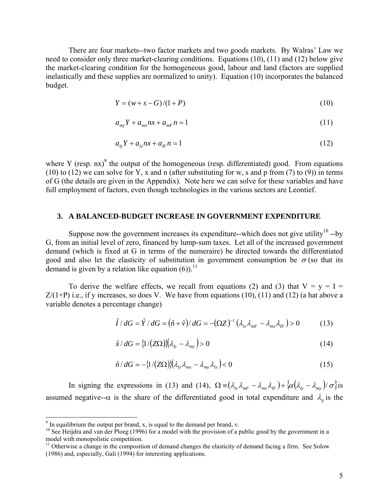There are four markets--two factor markets and two goods markets. By Walras' Law we need to consider only three market-clearing conditions. Equations (10), (11) and (12) below give the market-clearing condition for the homogeneous good, labour and land (factors are supplied inelastically and these supplies are normalized to unity). Equation (10) incorporates the balanced budget.

$$
Y = (w + s - G)/(1 + P) \tag{10}
$$

$$
a_{\scriptscriptstyle m\nu} Y + a_{\scriptscriptstyle m\nu} n x + a_{\scriptscriptstyle m\nu} n = 1 \tag{11}
$$

$$
a_{1y}Y + a_{1x}nx + a_{1F}n = 1
$$
\n<sup>(12)</sup>

where Y (resp.  $nx$ )<sup>9</sup> the output of the homogeneous (resp. differentiated) good. From equations (10) to (12) we can solve for Y, x and n (after substituting for w, s and p from (7) to (9)) in terms of G (the details are given in the Appendix). Note here we can solve for these variables and have full employment of factors, even though technologies in the various sectors are Leontief.

#### **3. A BALANCED-BUDGET INCREASE IN GOVERNMENT EXPENDITURE**

Suppose now the government increases its expenditure--which does not give utility<sup>10</sup> --by G, from an initial level of zero, financed by lump-sum taxes. Let all of the increased government demand (which is fixed at G in terms of the numeraire) be directed towards the differentiated good and also let the elasticity of substitution in government consumption be  $\sigma$  (so that its demand is given by a relation like equation  $(6)$ .<sup>11</sup>

To derive the welfare effects, we recall from equations (2) and (3) that  $V = y = I =$  $Z/(1+P)$  i.e., if y increases, so does V. We have from equations (10), (11) and (12) (a hat above a variable denotes a percentage change)

$$
\hat{I}/dG = \hat{Y}/dG = (\hat{n} + \hat{v})/dG = -(\Omega Z)^{-1}(\lambda_{lx}\lambda_{mF} - \lambda_{mx}\lambda_{lF}) > 0
$$
 (13)

$$
\hat{x} \, dG = \left\{ \frac{1}{(Z\Omega)} \right\} \left( \lambda_{l_y} - \lambda_{m_y} \right) > 0 \tag{14}
$$

$$
\hat{n}/dG = -\{1/(Z\Omega)\}(\lambda_{l_y}\lambda_{mx} - \lambda_{my}\lambda_{l_x}) < 0
$$
\n(15)

In signing the expressions in (13) and (14),  $\Omega = (\lambda_{lx}\lambda_{mr} - \lambda_{mx}\lambda_{lr}) + \{\alpha(\lambda_{ly} - \lambda_{my})/\sigma\}$ is assumed negative-- $\alpha$  is the share of the differentiated good in total expenditure and  $\lambda_{ij}$  is the

<sup>-&</sup>lt;br>9

<span id="page-6-1"></span><span id="page-6-0"></span><sup>&</sup>lt;sup>9</sup> In equilibrium the output per brand, x, is equal to the demand per brand, v.  $^{10}$  See Heijdra and van der Ploeg (1996) for a model with the provision of a public good by the government in a model with monopolistic c

<span id="page-6-2"></span> $11$  Otherwise a change in the composition of demand changes the elasticity of demand facing a firm. See Solow (1986) and, especially, Gali (1994) for interesting applications.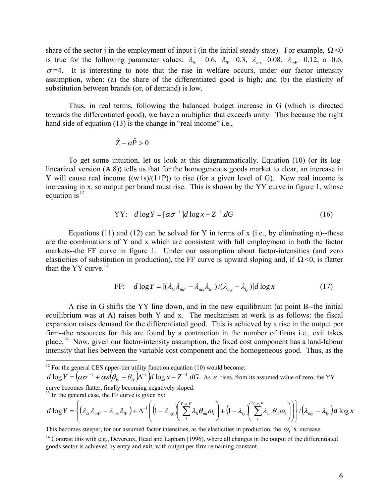share of the sector j in the employment of input i (in the initial steady state). For example,  $\Omega \le 0$ is true for the following parameter values:  $\lambda_k = 0.6$ ,  $\lambda_k = 0.3$ ,  $\lambda_{mx} = 0.08$ ,  $\lambda_{mr} = 0.12$ ,  $\alpha = 0.6$ ,  $\sigma$ =4. It is interesting to note that the rise in welfare occurs, under our factor intensity assumption, when: (a) the share of the differentiated good is high; and (b) the elasticity of substitution between brands (or, of demand) is low.

Thus, in real terms, following the balanced budget increase in G (which is directed towards the differentiated good), we have a multiplier that exceeds unity. This because the right hand side of equation (13) is the change in "real income" i.e.,

$$
\hat{Z}-\alpha\hat{P}>0
$$

To get some intuition, let us look at this diagrammatically. Equation (10) (or its loglinearized version (A.8)) tells us that for the homogeneous goods market to clear, an increase in Y will cause real income  $((w+s)/(1+P))$  to rise (for a given level of G). Now real income is increasing in x, so output per brand must rise. This is shown by the YY curve in figure 1, whose equation is $^{12}$ 

$$
YY: d \log Y = [\alpha \sigma^{-1}] d \log x - Z^{-1} dG \tag{16}
$$

Equations  $(11)$  and  $(12)$  can be solved for Y in terms of x (i.e., by eliminating n)--these are the combinations of Y and x which are consistent with full employment in both the factor markets--the FF curve in figure 1. Under our assumption about factor-intensities (and zero elasticities of substitution in production), the FF curve is upward sloping and, if  $\Omega$  <0, is flatter than the  $YY$  curve.<sup>13</sup>

FF: 
$$
d \log Y = [(\lambda_{lx} \lambda_{mF} - \lambda_{mx} \lambda_{lF}) / (\lambda_{my} - \lambda_{ly})] d \log x
$$
 (17)

A rise in G shifts the YY line down, and in the new equilibrium (at point B--the initial equilibrium was at A) raises both Y and x. The mechanism at work is as follows: the fiscal expansion raises demand for the differentiated good. This is achieved by a rise in the output per firm--the resources for this are found by a contraction in the number of firms i.e., exit takes place.<sup>14</sup> Now, given our factor-intensity assumption, the fixed cost component has a land-labour intensity that lies between the variable cost component and the homogeneous good. Thus, as the

<span id="page-7-0"></span> $12$  For the general CES upper-tier utility function equation (10) would become:

 $d \log Y = \left( \alpha \sigma^{-1} + \alpha \varepsilon \left( \theta_{1y} - \theta_{1x} \right) \Delta^{-1} \right) d \log x - Z^{-1} dG$ . As  $\varepsilon$  rises, from its assumed value of zero, the YY curve becomes flatter, finally becoming negatively sloped. 13 In the general case, the FF curve is given by:

$$
d \log Y = \left\{ (\lambda_{lx} \lambda_{mr} - \lambda_{mx} \lambda_{lr}) + \Delta^{-1} \left( (1 - \lambda_{my} \left( \sum_{i}^{Y_{,x,F}} \lambda_{li} \theta_{mi} \omega_i \right) + (1 - \lambda_{ly} \left( \sum_{i}^{Y_{,x,F}} \lambda_{mi} \theta_{li} \omega_i \right) \right) \right\} / (\lambda_{my} - \lambda_{ly}) d \log x
$$

This becomes steeper, for our assumed factor intensities, as the elasticities in production, the  $\omega_i$ 's increase.

<span id="page-7-1"></span>

<span id="page-7-2"></span><sup>&</sup>lt;sup>14</sup> Contrast this with e.g., Devereux, Head and Lapham (1996), where all changes in the output of the differentiated goods sector is achieved by entry and exit, with output per firm remaining constant.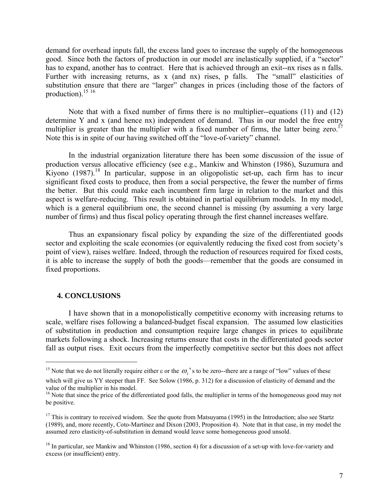demand for overhead inputs fall, the excess land goes to increase the supply of the homogeneous good. Since both the factors of production in our model are inelastically supplied, if a "sector" has to expand, another has to contract. Here that is achieved through an exit--nx rises as n falls. Further with increasing returns, as x (and nx) rises, p falls. The "small" elasticities of substitution ensure that there are "larger" changes in prices (including those of the factors of production). $15 \tcdot 16$  $15 \tcdot 16$ 

Note that with a fixed number of firms there is no multiplier--equations (11) and (12) determine Y and x (and hence nx) independent of demand. Thus in our model the free entry multiplier is greater than the multiplier with a fixed number of firms, the latter being zero.<sup>17</sup> Note this is in spite of our having switched off the "love-of-variety" channel.

In the industrial organization literature there has been some discussion of the issue of production versus allocative efficiency (see e.g., Mankiw and Whinston (1986), Suzumura and Kiyono  $(1987)$ .<sup>18</sup> In particular, suppose in an oligopolistic set-up, each firm has to incur significant fixed costs to produce, then from a social perspective, the fewer the number of firms the better. But this could make each incumbent firm large in relation to the market and this aspect is welfare-reducing. This result is obtained in partial equilibrium models. In my model, which is a general equilibrium one, the second channel is missing (by assuming a very large number of firms) and thus fiscal policy operating through the first channel increases welfare.

Thus an expansionary fiscal policy by expanding the size of the differentiated goods sector and exploiting the scale economies (or equivalently reducing the fixed cost from society's point of view), raises welfare. Indeed, through the reduction of resources required for fixed costs, it is able to increase the supply of both the goods—remember that the goods are consumed in fixed proportions.

#### **4. CONCLUSIONS**

 $\overline{a}$ 

I have shown that in a monopolistically competitive economy with increasing returns to scale, welfare rises following a balanced-budget fiscal expansion. The assumed low elasticities of substitution in production and consumption require large changes in prices to equilibrate markets following a shock. Increasing returns ensure that costs in the differentiated goods sector fall as output rises. Exit occurs from the imperfectly competitive sector but this does not affect

<span id="page-8-0"></span><sup>&</sup>lt;sup>15</sup> Note that we do not literally require either  $\epsilon$  or the  $\omega_i$ 's to be zero--there are a range of "low" values of these

which will give us YY steeper than FF. See Solow (1986, p. 312) for a discussion of elasticity of demand and the value of the multiplier in his model.

<span id="page-8-1"></span> $16$  Note that since the price of the differentiated good falls, the multiplier in terms of the homogeneous good may not be positive.

<span id="page-8-2"></span> $17$  This is contrary to received wisdom. See the quote from Matsuyama (1995) in the Introduction; also see Startz (1989), and, more recently, Coto-Martinez and Dixon (2003, Proposition 4). Note that in that case, in my model the assumed zero elasticity-of-substitution in demand would leave some homogeneous good unsold.

<span id="page-8-3"></span><sup>&</sup>lt;sup>18</sup> In particular, see Mankiw and Whinston (1986, section 4) for a discussion of a set-up with love-for-variety and excess (or insufficient) entry.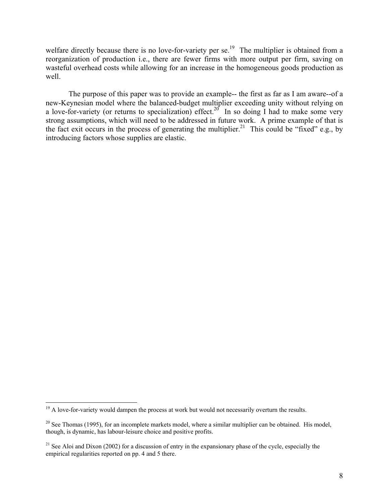welfare directly because there is no love-for-variety per  $se^{19}$ . The multiplier is obtained from a reorganization of production i.e., there are fewer firms with more output per firm, saving on wasteful overhead costs while allowing for an increase in the homogeneous goods production as well.

The purpose of this paper was to provide an example-- the first as far as I am aware--of a new-Keynesian model where the balanced-budget multiplier exceeding unity without relying on a love-for-variety (or returns to specialization) effect.<sup>20</sup> In so doing I had to make some very strong assumptions, which will need to be addressed in future work. A prime example of that is the fact exit occurs in the process of generating the multiplier.<sup>21</sup> This could be "fixed" e.g., by introducing factors whose supplies are elastic.

<u>.</u>

<span id="page-9-0"></span> $19$  A love-for-variety would dampen the process at work but would not necessarily overturn the results.

<span id="page-9-1"></span> $20$  See Thomas (1995), for an incomplete markets model, where a similar multiplier can be obtained. His model, though, is dynamic, has labour-leisure choice and positive profits.

<span id="page-9-2"></span><sup>&</sup>lt;sup>21</sup> See Aloi and Dixon (2002) for a discussion of entry in the expansionary phase of the cycle, especially the empirical regularities reported on pp. 4 and 5 there.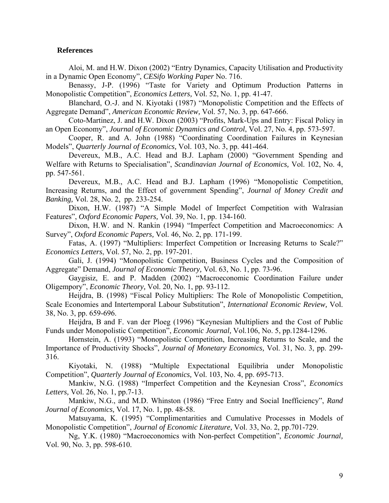#### **References**

Aloi, M. and H.W. Dixon (2002) "Entry Dynamics, Capacity Utilisation and Productivity in a Dynamic Open Economy", *CESifo Working Paper* No. 716.

Benassy, J-P. (1996) "Taste for Variety and Optimum Production Patterns in Monopolistic Competition", *Economics Letters,* Vol. 52, No. 1, pp. 41-47.

Blanchard, O.-J. and N. Kiyotaki (1987) "Monopolistic Competition and the Effects of Aggregate Demand", *American Economic Review,* Vol. 57, No. 3, pp. 647-666.

Coto-Martinez, J. and H.W. Dixon (2003) "Profits, Mark-Ups and Entry: Fiscal Policy in an Open Economy", *Journal of Economic Dynamics and Control*, Vol. 27, No. 4, pp. 573-597.

Cooper, R. and A. John (1988) "Coordinating Coordination Failures in Keynesian Models", *Quarterly Journal of Economics,* Vol. 103, No. 3, pp. 441-464.

Devereux, M.B., A.C. Head and B.J. Lapham (2000) "Government Spending and Welfare with Returns to Specialisation", *Scandinavian Journal of Economics,* Vol. 102, No. 4, pp. 547-561.

Devereux, M.B., A.C. Head and B.J. Lapham (1996) "Monopolistic Competition, Increasing Returns, and the Effect of government Spending", *Journal of Money Credit and Banking,* Vol. 28, No. 2, pp. 233-254.

Dixon, H.W. (1987) "A Simple Model of Imperfect Competition with Walrasian Features", *Oxford Economic Papers,* Vol. 39, No. 1, pp. 134-160.

Dixon, H.W. and N. Rankin (1994) "Imperfect Competition and Macroeconomics: A Survey", *Oxford Economic Papers,* Vol. 46, No. 2, pp. 171-199.

Fatas, A. (1997) "Multipliers: Imperfect Competition or Increasing Returns to Scale?" *Economics Letters*, Vol. 57, No. 2, pp. 197-201.

Gali, J. (1994) "Monopolistic Competition, Business Cycles and the Composition of Aggregate" Demand, *Journal of Economic Theory,* Vol. 63, No. 1, pp. 73-96.

Gaygisiz, E. and P. Madden (2002) "Macroeconomic Coordination Failure under Oligempory", *Economic Theory,* Vol. 20, No. 1, pp. 93-112.

Heijdra, B. (1998) "Fiscal Policy Multipliers: The Role of Monopolistic Competition, Scale Economies and Intertemporal Labour Substitution", *International Economic Review,* Vol. 38, No. 3, pp. 659-696.

Heijdra, B and F. van der Ploeg (1996) "Keynesian Multipliers and the Cost of Public Funds under Monopolistic Competition", *Economic Journal,* Vol.106, No. 5, pp.1284-1296.

Hornstein, A. (1993) "Monopolistic Competition, Increasing Returns to Scale, and the Importance of Productivity Shocks", *Journal of Monetary Economics,* Vol. 31, No. 3, pp. 299- 316.

Kiyotaki, N. (1988) "Multiple Expectational Equilibria under Monopolistic Competition", *Quarterly Journal of Economics,* Vol. 103, No. 4, pp. 695-713.

Mankiw, N.G. (1988) "Imperfect Competition and the Keynesian Cross", *Economics Letters,* Vol. 26, No. 1, pp.7-13.

Mankiw, N.G., and M.D. Whinston (1986) "Free Entry and Social Inefficiency", *Rand Journal of Economics,* Vol. 17, No. 1, pp. 48-58.

Matsuyama, K. (1995) "Complimentarities and Cumulative Processes in Models of Monopolistic Competition", *Journal of Economic Literature,* Vol. 33, No. 2, pp.701-729.

Ng, Y.K. (1980) "Macroeconomics with Non-perfect Competition", *Economic Journal,*  Vol. 90, No. 3, pp. 598-610.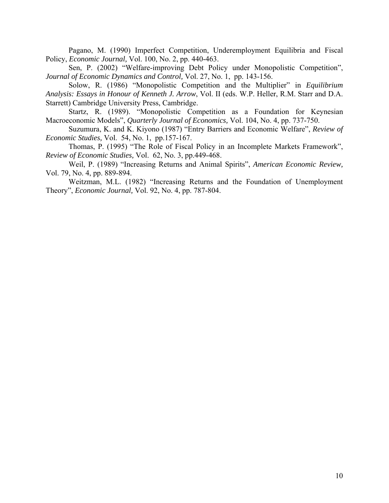Pagano, M. (1990) Imperfect Competition, Underemployment Equilibria and Fiscal Policy, *Economic Journal,* Vol. 100, No. 2, pp. 440-463.

Sen, P. (2002) "Welfare-improving Debt Policy under Monopolistic Competition", *Journal of Economic Dynamics and Control,* Vol. 27, No. 1, pp. 143-156.

Solow, R. (1986) "Monopolistic Competition and the Multiplier" in *Equilibrium Analysis: Essays in Honour of Kenneth J. Arrow*, Vol. II (eds. W.P. Heller, R.M. Starr and D.A. Starrett) Cambridge University Press, Cambridge.

Startz, R. (1989). "Monopolistic Competition as a Foundation for Keynesian Macroeconomic Models", *Quarterly Journal of Economics,* Vol. 104, No. 4, pp. 737-750.

Suzumura, K. and K. Kiyono (1987) "Entry Barriers and Economic Welfare", *Review of Economic Studies,* Vol.54, No. 1, pp.157-167.

Thomas, P. (1995) "The Role of Fiscal Policy in an Incomplete Markets Framework", *Review of Economic Studies,* Vol.62, No. 3, pp.449-468.

Weil, P. (1989) "Increasing Returns and Animal Spirits", *American Economic Review,* Vol. 79, No. 4, pp. 889-894.

Weitzman, M.L. (1982) "Increasing Returns and the Foundation of Unemployment Theory", *Economic Journal,* Vol. 92, No. 4, pp. 787-804.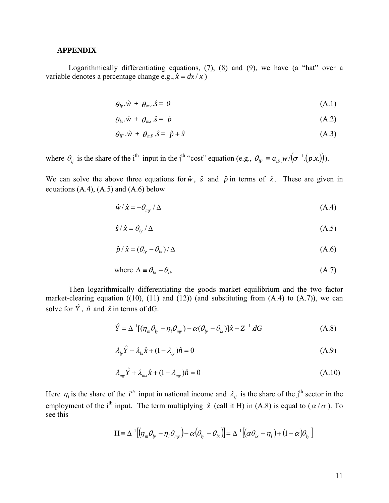#### **APPENDIX**

Logarithmically differentiating equations, (7), (8) and (9), we have (a "hat" over a variable denotes a percentage change e.g.,  $\hat{x} = dx / x$ )

$$
\theta_{ly}.\hat{w} + \theta_{my}.\hat{s} = 0 \tag{A.1}
$$

$$
\theta_{lx} \cdot \hat{w} + \theta_{mx} \cdot \hat{s} = \hat{p} \tag{A.2}
$$

$$
\theta_{lF} \cdot \hat{w} + \theta_{mF} \cdot \hat{s} = \hat{p} + \hat{x} \tag{A.3}
$$

where  $\theta_{ij}$  is the share of the i<sup>th</sup> input in the j<sup>th</sup> "cost" equation (e.g.,  $\theta_{IF} \equiv a_{IF} w / (\sigma^{-1} (p.x))$ ).

We can solve the above three equations for  $\hat{w}$ ,  $\hat{s}$  and  $\hat{p}$  in terms of  $\hat{x}$ . These are given in equations  $(A.4)$ ,  $(A.5)$  and  $(A.6)$  below

$$
\hat{w}/\hat{x} = -\theta_{my}/\Delta \tag{A.4}
$$

$$
\hat{s}/\hat{x} = \theta_{1y}/\Delta \tag{A.5}
$$

$$
\hat{p} / \hat{x} = (\theta_{l_y} - \theta_{l_x}) / \Delta \tag{A.6}
$$

where 
$$
\Delta \equiv \theta_{lx} - \theta_{lF}
$$
 (A.7)

Then logarithmically differentiating the goods market equilibrium and the two factor market-clearing equation  $((10), (11)$  and  $(12))$  (and substituting from  $(A.4)$  to  $(A.7)$ ), we can solve for  $\hat{Y}$ ,  $\hat{n}$  and  $\hat{x}$  in terms of dG.

$$
\hat{Y} = \Delta^{-1}[(\eta_m \theta_{l_y} - \eta_l \theta_{my}) - \alpha(\theta_{l_y} - \theta_{l_x})]\hat{x} - Z^{-1}.dG
$$
\n(A.8)

$$
\lambda_{l_y} \hat{Y} + \lambda_{l_x} \hat{x} + (1 - \lambda_{l_y}) \hat{n} = 0 \tag{A.9}
$$

$$
\lambda_{\scriptscriptstyle m\nu} \hat{Y} + \lambda_{\scriptscriptstyle m\nu} \hat{x} + (1 - \lambda_{\scriptscriptstyle m\nu}) \hat{n} = 0 \tag{A.10}
$$

Here  $\eta_i$  is the share of the i<sup>th</sup> input in national income and  $\lambda_{ij}$  is the share of the j<sup>th</sup> sector in the employment of the i<sup>th</sup> input. The term multiplying  $\hat{x}$  (call it H) in (A.8) is equal to ( $\alpha/\sigma$ ). To see this

$$
H = \Delta^{-1} \left[ \left( \eta_m \theta_{ly} - \eta_l \theta_{my} \right) - \alpha \left( \theta_{ly} - \theta_{lx} \right) \right] = \Delta^{-1} \left[ \left( \alpha \theta_{lx} - \eta_l \right) + \left( 1 - \alpha \right) \theta_{ly} \right]
$$